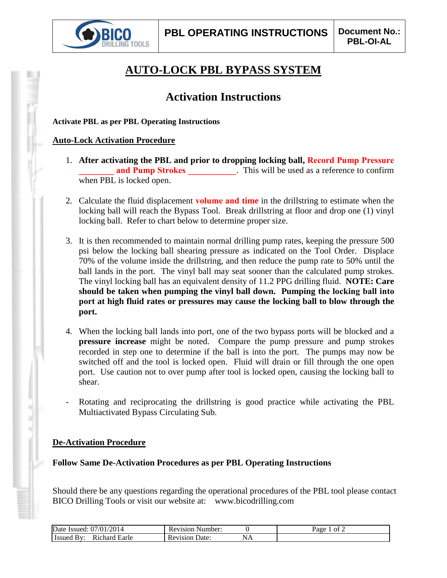

# **AUTO-LOCK PBL BYPASS SYSTEM**

## **Activation Instructions**

**Activate PBL as per PBL Operating Instructions**

#### **Auto-Lock Activation Procedure**

- 1. **After activating the PBL and prior to dropping locking ball, Record Pump Pressure and Pump Strokes** . This will be used as a reference to confirm when PBL is locked open.
- 2. Calculate the fluid displacement **volume and time** in the drillstring to estimate when the locking ball will reach the Bypass Tool. Break drillstring at floor and drop one (1) vinyl locking ball. Refer to chart below to determine proper size.
- 3. It is then recommended to maintain normal drilling pump rates, keeping the pressure 500 psi below the locking ball shearing pressure as indicated on the Tool Order. Displace 70% of the volume inside the drillstring, and then reduce the pump rate to 50% until the ball lands in the port. The vinyl ball may seat sooner than the calculated pump strokes. The vinyl locking ball has an equivalent density of 11.2 PPG drilling fluid. **NOTE: Care should be taken when pumping the vinyl ball down. Pumping the locking ball into port at high fluid rates or pressures may cause the locking ball to blow through the port.**
- 4. When the locking ball lands into port, one of the two bypass ports will be blocked and a **pressure increase** might be noted. Compare the pump pressure and pump strokes recorded in step one to determine if the ball is into the port. The pumps may now be switched off and the tool is locked open. Fluid will drain or fill through the one open port. Use caution not to over pump after tool is locked open, causing the locking ball to shear.
- Rotating and reciprocating the drillstring is good practice while activating the PBL Multiactivated Bypass Circulating Sub.

#### **De-Activation Procedure**

#### **Follow Same De-Activation Procedures as per PBL Operating Instructions**

Should there be any questions regarding the operational procedures of the PBL tool please contact BICO Drilling Tools or visit our website at: www.bicodrilling.com

| '2014<br>$^{\prime}/0.$<br>Date<br>Issued:<br>: U / | Number:<br>2V1S1O1 |    | -aoe<br>ΩŤ |
|-----------------------------------------------------|--------------------|----|------------|
| ≏hard ⊾<br>Earle<br>$\cdot$<br>311ea                | Jate:<br>Revision  | YЛ |            |